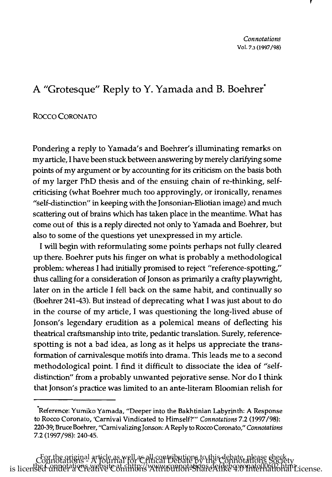## A "Grotesque" Reply to Y. Yamada and B. Boehrer\*

## Rocco CORONATO

Pondering a reply to Yamada's and Boehrer's illuminating remarks on my article, I have been stuck between answering by merely clarifying some points of my argument or by accounting for its criticism on the basis both of my larger PhD thesis and of the ensuing chain of re-thinking, selfcriticising (what Boehrer much too approvingly, or ironically, renames "self-distinction" in keeping with the Jonsonian-Eliotian image) and much scattering out of brains which has taken place in the meantime. What has come out of this is a reply directed not only to Yamada and Boehrer, but also to some of the questions yet unexpressed in my article.

I will begin with reformulating some points perhaps not fully cleared up there. Boehrer puts his finger on what is probably a methodological problem: whereas I had initially promised to reject "reference-spotting," thus calling for a consideration of Jonson as primarily a crafty playwright, later on in the article I fell back on the same habit, and continually so (Boehrer 241-43). But instead of deprecating what I was just about to do in the course of my article, I was questioning the long-lived abuse of Jonson's legendary erudition as a polemical means of deflecting his theatrical craftsmanship into trite, pedantic translation. Surely, referencespotting is not a bad idea, as long as it helps us appreciate the transformation of carnivalesque motifs into drama. This leads me to a second methodological point. I find it difficult to dissociate the idea of "selfdistinction" from a probably unwanted pejorative sense. Nor do I think that Jonson's practice was limited to an ante-literam Bloomian relish for

<sup>&#</sup>x27;Reference: Yumiko Yamada, "Deeper into the Bakhtinian Labyrinth: A Response to Rocco Coronato, 'Carnival Vindicated to Himself?'" *Connotations* 7.2 (1997/98): 220-39; Bruce Boehrer, "Carnivalizing Jonson: A Reply to Rocco Coronato," *Connotations* 7.2 (1997/98): 240-45.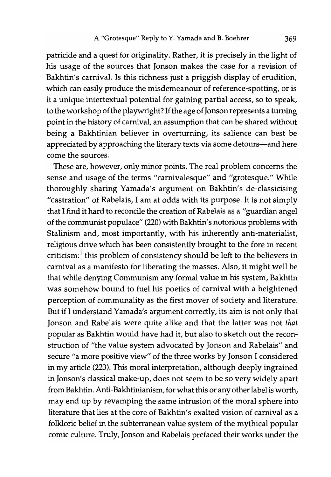patricide and a quest for originality. Rather, it is precisely in the light of his usage of the sources that Jonson makes the case for a revision of Bakhtin's carnival. Is this richness just a priggish display of erudition, which can easily produce the misdemeanour of reference-spotting, or is it a unique intertextual potential for gaining partial access, so to speak, to the workshop of the playwright? If the age of Jonson represents a turning point in the history of carnival, an assumption that can be shared without being a Bakhtinian believer in overturning, its salience can best be appreciated by approaching the literary texts via some detours-and here come the sources.

These are, however, only minor points. The real problem concerns the sense and usage of the terms "carnivalesque" and "grotesque." While thoroughly sharing Yamada's argument on Bakhtin's de-classicising "castration" of Rabelais, I am at odds with its purpose. It is not simply that I find it hard to reconcile the creation of Rabelais as a "guardian angel of the communist populace" (220) with Bakhtin's notorious problems with Stalinism and, most importantly, with his inherently anti-materialist, religious drive which has been consistently brought to the fore in recent criticism:<sup>1</sup> this problem of consistency should be left to the believers in carnival as a manifesto for liberating the masses. Also, it might well be that while denying Communism any formal value in his system, Bakhtin was somehow bound to fuel his poetics of carnival with a heightened perception of communality as the first mover of society and literature. But if I understand Yamada's argument correctly, its aim is not only that Jonson and Rabelais were quite alike and that the latter was not *that*  popular as Bakhtin would have had it, but also to sketch out the reconstruction of "the value system advocated by Jonson and Rabelais" and secure "a more positive view" of the three works by Jonson I considered in my article (223). This moral interpretation, although deeply ingrained in Jonson's classical make-up, does not seem to be so very widely apart from Bakhtin. Anti-Bakhtinianism, for what this or any other label is worth, may end up by revamping the same intrusion of the moral sphere into literature that lies at the core of Bakhtin's exalted vision of carnival as a folkloric belief in the subterranean value system of the mythical popular comic culture. Truly, Jonson and Rabelais prefaced their works under the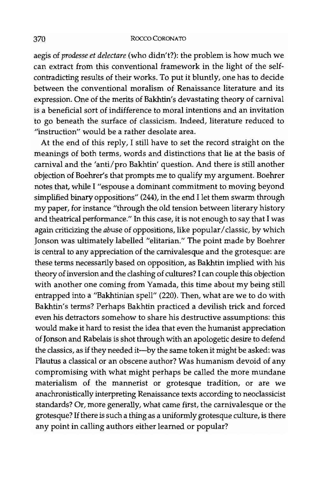## 370 *Raceo* CORONA TO

aegis of *prodesse et delectare* (who didn't?): the problem is how much we can extract from this conventional framework in the light of the selfcontradicting results of their works. To put it bluntly, one has to decide between the conventional moralism of Renaissance literature and its expression. One of the merits of Bakhtin's devastating theory of carnival is a beneficial sort of indifference to moral intentions and an invitation to go beneath the surface of classicism. Indeed, literature reduced to "instruction" would be a rather desolate area.

At the end of this reply, I still have to set the record straight on the meanings of both terms, words and distinctions that lie at the basis of carnival and the 'anti/pro Bakhtin' question. And there is still another objection of Boehrer's that prompts me to qualify my argument. Boehrer notes that, while I "espouse a dominant commitment to moving beyond simplified binary oppositions" (244), in the end I let them swarm through my paper, for instance "through the old tension between literary history and theatrical performance." In this case, it is not enough to say that I was again criticizing the *abuse* of oppositions, like popular / classic, by which Jonson was ultimately labelled "elitarian." The point made by Boehrer is central to any appreciation of the carnivalesque and the grotesque: are these tenns necessarily based on opposition, as Bakhtin implied with his theory of inversion and the clashing of cultures? I can couple this objection with another one coming from Yamada, this time about my being still entrapped into a ''Bakhtinian spell" (220). Then, what are we to do with Bakhtin's terms? Perhaps Bakhtin practiced a devilish trick and forced even his detractors somehow to share his destructive assumptions: this would make it hard to resist the idea that even the humanist appreciation of Jonson and Rabelais is shot through with an apologetic desire to defend the classics, as if they needed it---by the same token it might be asked: was Plautus a classical or an obscene author? Was humanism devoid of any compromising with what might perhaps be called the more mundane materialism of the mannerist or grotesque tradition, or are we anachronistically interpreting Renaissance texts according to neoclassicist standards? Or, more generally, what came first, the carnivalesque or the grotesque? If there is such a thing as a uniformly grotesque culture, is there any point in calling authors either learned or popular?